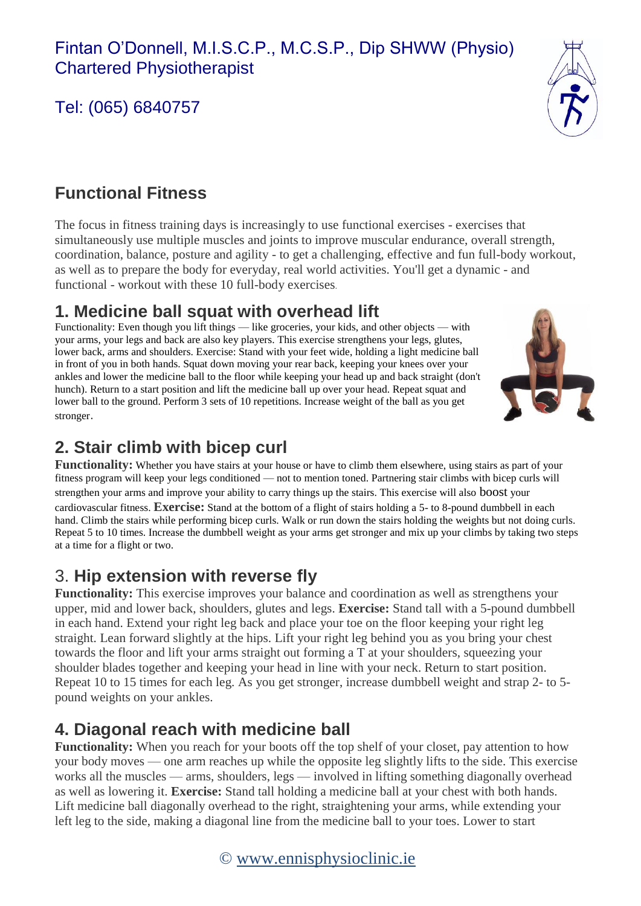# Tel: (065) 6840757



## **Functional Fitness**

The focus in fitness training days is increasingly to use functional exercises - exercises that simultaneously use multiple muscles and joints to improve muscular endurance, overall strength, coordination, balance, posture and agility - to get a challenging, effective and fun full-body workout, as well as to prepare the body for everyday, real world activities. You'll get a dynamic - and functional - workout with these 10 full-body exercises.

### **1. Medicine ball squat with overhead lift**

Functionality: Even though you lift things — like groceries, your kids, and other objects — with your arms, your legs and back are also key players. This exercise strengthens your legs, glutes, lower back, arms and shoulders. Exercise: Stand with your feet wide, holding a light medicine ball in front of you in both hands. Squat down moving your rear back, keeping your knees over your ankles and lower the medicine ball to the floor while keeping your head up and back straight (don't hunch). Return to a start position and lift the medicine ball up over your head. Repeat squat and lower ball to the ground. Perform 3 sets of 10 repetitions. Increase weight of the ball as you get stronger.



# **2. Stair climb with bicep curl**

**Functionality:** Whether you have stairs at your house or have to climb them elsewhere, using stairs as part of your fitness program will keep your legs conditioned — not to mention toned. Partnering stair climbs with bicep curls will strengthen your arms and improve your ability to carry things up the stairs. This exercise will also boost your cardiovascular fitness. **Exercise:** Stand at the bottom of a flight of stairs holding a 5- to 8-pound dumbbell in each hand. Climb the stairs while performing bicep curls. Walk or run down the stairs holding the weights but not doing curls. Repeat 5 to 10 times. Increase the dumbbell weight as your arms get stronger and mix up your climbs by taking two steps at a time for a flight or two.

## 3. **Hip extension with reverse fly**

**Functionality:** This exercise improves your balance and coordination as well as strengthens your upper, mid and lower back, shoulders, glutes and legs. **Exercise:** Stand tall with a 5-pound dumbbell in each hand. Extend your right leg back and place your toe on the floor keeping your right leg straight. Lean forward slightly at the hips. Lift your right leg behind you as you bring your chest towards the floor and lift your arms straight out forming a T at your shoulders, squeezing your shoulder blades together and keeping your head in line with your neck. Return to start position. Repeat 10 to 15 times for each leg. As you get stronger, increase dumbbell weight and strap 2- to 5 pound weights on your ankles.

# **4. Diagonal reach with medicine ball**

**Functionality:** When you reach for your boots off the top shelf of your closet, pay attention to how your body moves — one arm reaches up while the opposite leg slightly lifts to the side. This exercise works all the muscles — arms, shoulders, legs — involved in lifting something diagonally overhead as well as lowering it. **Exercise:** Stand tall holding a medicine ball at your chest with both hands. Lift medicine ball diagonally overhead to the right, straightening your arms, while extending your left leg to the side, making a diagonal line from the medicine ball to your toes. Lower to start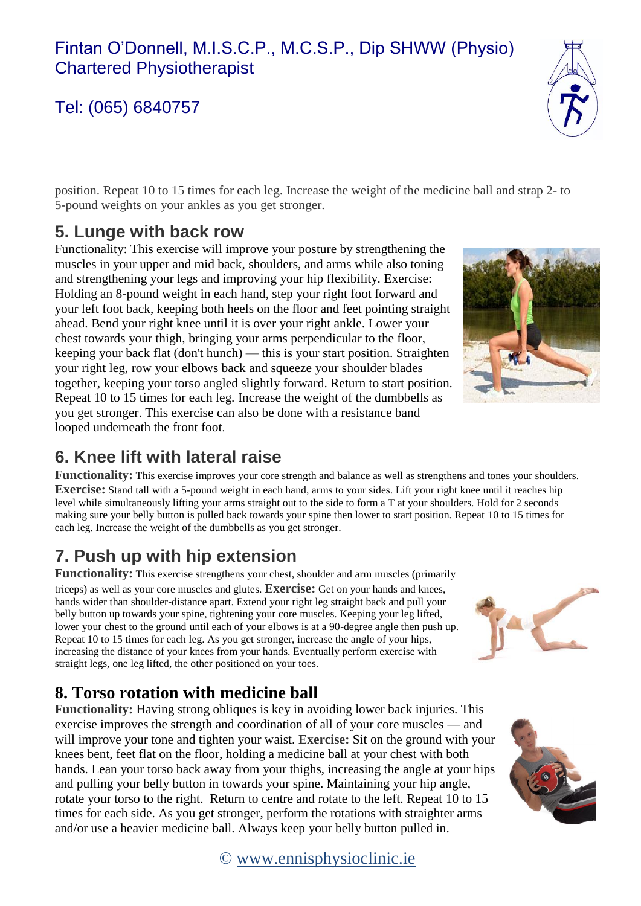### Fintan O'Donnell, M.I.S.C.P., M.C.S.P., Dip SHWW (Physio) Chartered Physiotherapist

# Tel: (065) 6840757

position. Repeat 10 to 15 times for each leg. Increase the weight of the medicine ball and strap 2- to 5-pound weights on your ankles as you get stronger.

## **5. Lunge with back row**

Functionality: This exercise will improve your posture by strengthening the muscles in your upper and mid back, shoulders, and arms while also toning and strengthening your legs and improving your hip flexibility. Exercise: Holding an 8-pound weight in each hand, step your right foot forward and your left foot back, keeping both heels on the floor and feet pointing straight ahead. Bend your right knee until it is over your right ankle. Lower your chest towards your thigh, bringing your arms perpendicular to the floor, keeping your back flat (don't hunch) — this is your start position. Straighten your right leg, row your elbows back and squeeze your shoulder blades together, keeping your torso angled slightly forward. Return to start position. Repeat 10 to 15 times for each leg. Increase the weight of the dumbbells as you get stronger. This exercise can also be done with a resistance band looped underneath the front foot.

### **6. Knee lift with lateral raise**

**Functionality:** This exercise improves your core strength and balance as well as strengthens and tones your shoulders. **Exercise:** Stand tall with a 5-pound weight in each hand, arms to your sides. Lift your right knee until it reaches hip level while simultaneously lifting your arms straight out to the side to form a T at your shoulders. Hold for 2 seconds making sure your belly button is pulled back towards your spine then lower to start position. Repeat 10 to 15 times for each leg. Increase the weight of the dumbbells as you get stronger.

# **7. Push up with hip extension**

**Functionality:** This exercise strengthens your chest, shoulder and arm muscles (primarily triceps) as well as your core muscles and glutes. **Exercise:** Get on your hands and knees, hands wider than shoulder-distance apart. Extend your right leg straight back and pull your belly button up towards your spine, tightening your core muscles. Keeping your leg lifted, lower your chest to the ground until each of your elbows is at a 90-degree angle then push up. Repeat 10 to 15 times for each leg. As you get stronger, increase the angle of your hips, increasing the distance of your knees from your hands. Eventually perform exercise with straight legs, one leg lifted, the other positioned on your toes.

### **8. Torso rotation with medicine ball**

**Functionality:** Having strong obliques is key in avoiding lower back injuries. This exercise improves the strength and coordination of all of your core muscles — and will improve your tone and tighten your waist. **Exercise:** Sit on the ground with your knees bent, feet flat on the floor, holding a medicine ball at your chest with both hands. Lean your torso back away from your thighs, increasing the angle at your hips and pulling your belly button in towards your spine. Maintaining your hip angle, rotate your torso to the right. Return to centre and rotate to the left. Repeat 10 to 15 times for each side. As you get stronger, perform the rotations with straighter arms and/or use a heavier medicine ball. Always keep your belly button pulled in.

#### © [www.ennisphysioclinic.ie](http://www.ennisphysioclinic.ie/)







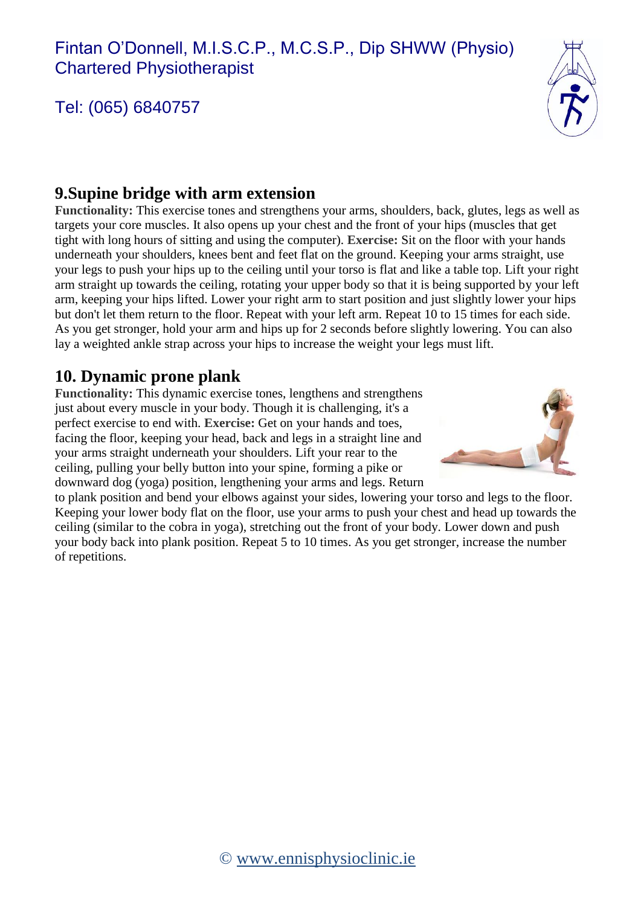## Tel: (065) 6840757



### **9.Supine bridge with arm extension**

**Functionality:** This exercise tones and strengthens your arms, shoulders, back, glutes, legs as well as targets your core muscles. It also opens up your chest and the front of your hips (muscles that get tight with long hours of sitting and using the computer). **Exercise:** Sit on the floor with your hands underneath your shoulders, knees bent and feet flat on the ground. Keeping your arms straight, use your legs to push your hips up to the ceiling until your torso is flat and like a table top. Lift your right arm straight up towards the ceiling, rotating your upper body so that it is being supported by your left arm, keeping your hips lifted. Lower your right arm to start position and just slightly lower your hips but don't let them return to the floor. Repeat with your left arm. Repeat 10 to 15 times for each side. As you get stronger, hold your arm and hips up for 2 seconds before slightly lowering. You can also lay a weighted ankle strap across your hips to increase the weight your legs must lift.

#### **10. Dynamic prone plank**

**Functionality:** This dynamic exercise tones, lengthens and strengthens just about every muscle in your body. Though it is challenging, it's a perfect exercise to end with. **Exercise:** Get on your hands and toes, facing the floor, keeping your head, back and legs in a straight line and your arms straight underneath your shoulders. Lift your rear to the ceiling, pulling your belly button into your spine, forming a pike or downward dog (yoga) position, lengthening your arms and legs. Return



to plank position and bend your elbows against your sides, lowering your torso and legs to the floor. Keeping your lower body flat on the floor, use your arms to push your chest and head up towards the ceiling (similar to the cobra in yoga), stretching out the front of your body. Lower down and push your body back into plank position. Repeat 5 to 10 times. As you get stronger, increase the number of repetitions.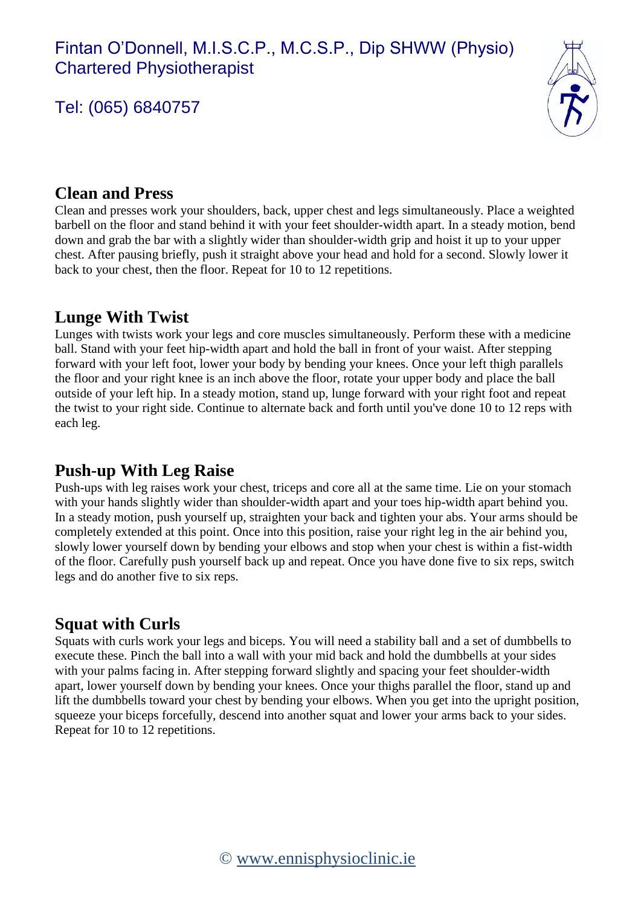## Tel: (065) 6840757



#### **Clean and Press**

Clean and presses work your shoulders, back, upper chest and legs simultaneously. Place a weighted barbell on the floor and stand behind it with your feet shoulder-width apart. In a steady motion, bend down and grab the bar with a slightly wider than shoulder-width grip and hoist it up to your upper chest. After pausing briefly, push it straight above your head and hold for a second. Slowly lower it back to your chest, then the floor. Repeat for 10 to 12 repetitions.

### **Lunge With Twist**

Lunges with twists work your legs and core muscles simultaneously. Perform these with a medicine ball. Stand with your feet hip-width apart and hold the ball in front of your waist. After stepping forward with your left foot, lower your body by bending your knees. Once your left thigh parallels the floor and your right knee is an inch above the floor, rotate your upper body and place the ball outside of your left hip. In a steady motion, stand up, lunge forward with your right foot and repeat the twist to your right side. Continue to alternate back and forth until you've done 10 to 12 reps with each leg.

### **Push-up With Leg Raise**

Push-ups with leg raises work your chest, triceps and core all at the same time. Lie on your stomach with your hands slightly wider than shoulder-width apart and your toes hip-width apart behind you. In a steady motion, push yourself up, straighten your back and tighten your abs. Your arms should be completely extended at this point. Once into this position, raise your right leg in the air behind you, slowly lower yourself down by bending your elbows and stop when your chest is within a fist-width of the floor. Carefully push yourself back up and repeat. Once you have done five to six reps, switch legs and do another five to six reps.

#### **Squat with Curls**

Squats with curls work your legs and biceps. You will need a stability ball and a set of dumbbells to execute these. Pinch the ball into a wall with your mid back and hold the dumbbells at your sides with your palms facing in. After stepping forward slightly and spacing your feet shoulder-width apart, lower yourself down by bending your knees. Once your thighs parallel the floor, stand up and lift the dumbbells toward your chest by bending your elbows. When you get into the upright position, squeeze your biceps forcefully, descend into another squat and lower your arms back to your sides. Repeat for 10 to 12 repetitions.